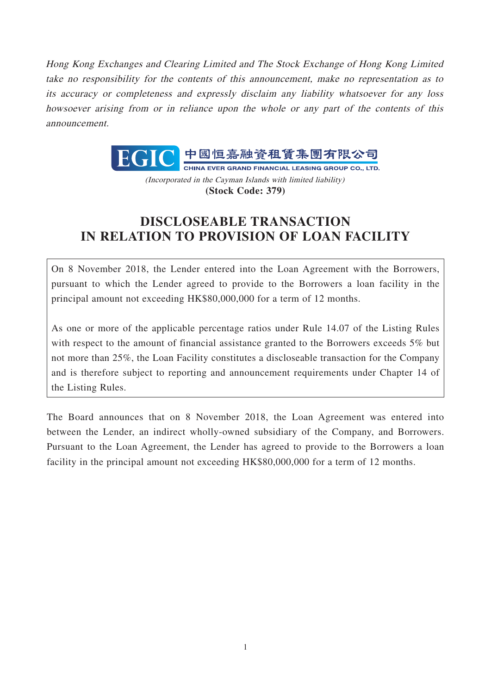Hong Kong Exchanges and Clearing Limited and The Stock Exchange of Hong Kong Limited take no responsibility for the contents of this announcement, make no representation as to its accuracy or completeness and expressly disclaim any liability whatsoever for any loss howsoever arising from or in reliance upon the whole or any part of the contents of this announcement.



(Incorporated in the Cayman Islands with limited liability) **(Stock Code: 379)**

# **DISCLOSEABLE TRANSACTION IN RELATION TO PROVISION OF LOAN FACILITY**

On 8 November 2018, the Lender entered into the Loan Agreement with the Borrowers, pursuant to which the Lender agreed to provide to the Borrowers a loan facility in the principal amount not exceeding HK\$80,000,000 for a term of 12 months.

As one or more of the applicable percentage ratios under Rule 14.07 of the Listing Rules with respect to the amount of financial assistance granted to the Borrowers exceeds 5% but not more than 25%, the Loan Facility constitutes a discloseable transaction for the Company and is therefore subject to reporting and announcement requirements under Chapter 14 of the Listing Rules.

The Board announces that on 8 November 2018, the Loan Agreement was entered into between the Lender, an indirect wholly-owned subsidiary of the Company, and Borrowers. Pursuant to the Loan Agreement, the Lender has agreed to provide to the Borrowers a loan facility in the principal amount not exceeding HK\$80,000,000 for a term of 12 months.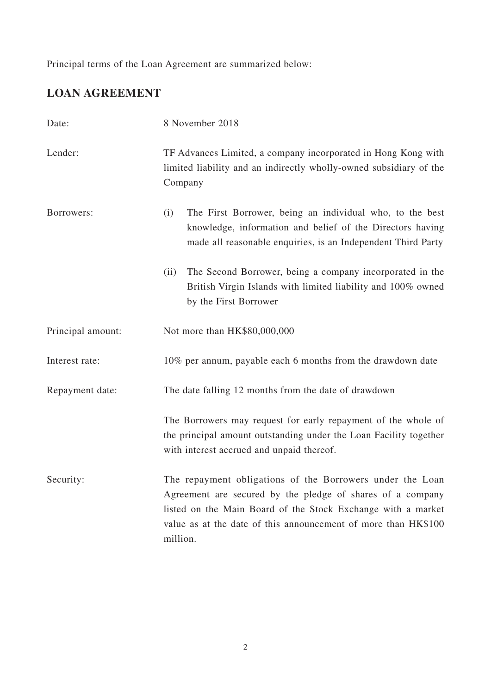Principal terms of the Loan Agreement are summarized below:

# **LOAN AGREEMENT**

| Date:             | 8 November 2018                                                                                                                                                                                                                                                       |
|-------------------|-----------------------------------------------------------------------------------------------------------------------------------------------------------------------------------------------------------------------------------------------------------------------|
| Lender:           | TF Advances Limited, a company incorporated in Hong Kong with<br>limited liability and an indirectly wholly-owned subsidiary of the<br>Company                                                                                                                        |
| Borrowers:        | The First Borrower, being an individual who, to the best<br>(i)<br>knowledge, information and belief of the Directors having<br>made all reasonable enquiries, is an Independent Third Party                                                                          |
|                   | The Second Borrower, being a company incorporated in the<br>(ii)<br>British Virgin Islands with limited liability and 100% owned<br>by the First Borrower                                                                                                             |
| Principal amount: | Not more than HK\$80,000,000                                                                                                                                                                                                                                          |
| Interest rate:    | 10% per annum, payable each 6 months from the drawdown date                                                                                                                                                                                                           |
| Repayment date:   | The date falling 12 months from the date of drawdown                                                                                                                                                                                                                  |
|                   | The Borrowers may request for early repayment of the whole of<br>the principal amount outstanding under the Loan Facility together<br>with interest accrued and unpaid thereof.                                                                                       |
| Security:         | The repayment obligations of the Borrowers under the Loan<br>Agreement are secured by the pledge of shares of a company<br>listed on the Main Board of the Stock Exchange with a market<br>value as at the date of this announcement of more than HK\$100<br>million. |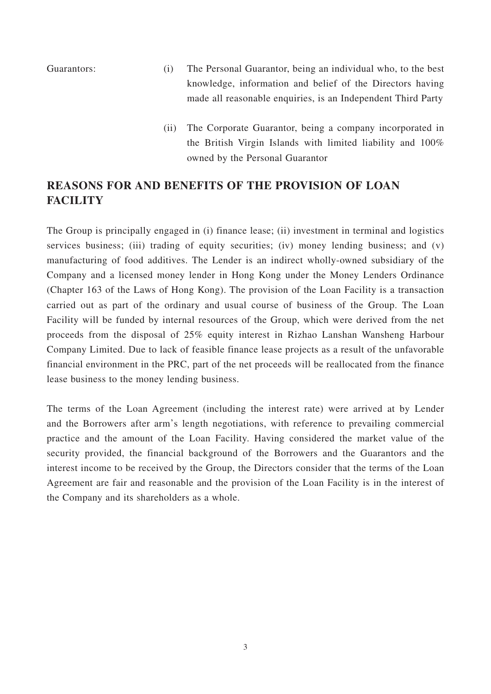- Guarantors: (i) The Personal Guarantor, being an individual who, to the best knowledge, information and belief of the Directors having made all reasonable enquiries, is an Independent Third Party
	- (ii) The Corporate Guarantor, being a company incorporated in the British Virgin Islands with limited liability and 100% owned by the Personal Guarantor

## **REASONS FOR AND BENEFITS OF THE PROVISION OF LOAN FACILITY**

The Group is principally engaged in (i) finance lease; (ii) investment in terminal and logistics services business; (iii) trading of equity securities; (iv) money lending business; and (v) manufacturing of food additives. The Lender is an indirect wholly-owned subsidiary of the Company and a licensed money lender in Hong Kong under the Money Lenders Ordinance (Chapter 163 of the Laws of Hong Kong). The provision of the Loan Facility is a transaction carried out as part of the ordinary and usual course of business of the Group. The Loan Facility will be funded by internal resources of the Group, which were derived from the net proceeds from the disposal of 25% equity interest in Rizhao Lanshan Wansheng Harbour Company Limited. Due to lack of feasible finance lease projects as a result of the unfavorable financial environment in the PRC, part of the net proceeds will be reallocated from the finance lease business to the money lending business.

The terms of the Loan Agreement (including the interest rate) were arrived at by Lender and the Borrowers after arm's length negotiations, with reference to prevailing commercial practice and the amount of the Loan Facility. Having considered the market value of the security provided, the financial background of the Borrowers and the Guarantors and the interest income to be received by the Group, the Directors consider that the terms of the Loan Agreement are fair and reasonable and the provision of the Loan Facility is in the interest of the Company and its shareholders as a whole.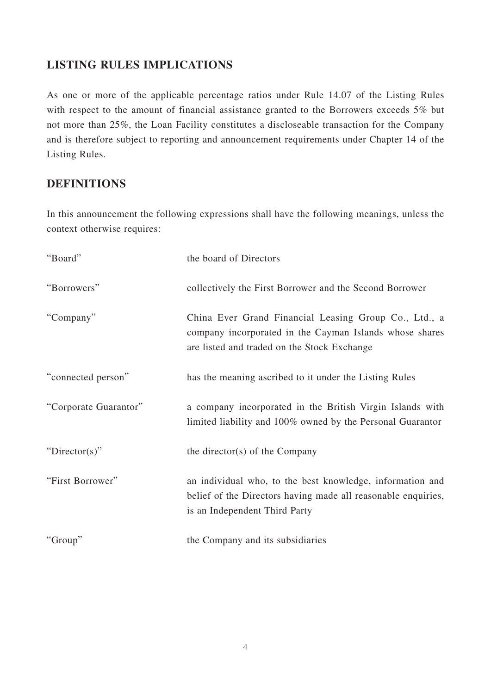#### **LISTING RULES IMPLICATIONS**

As one or more of the applicable percentage ratios under Rule 14.07 of the Listing Rules with respect to the amount of financial assistance granted to the Borrowers exceeds 5% but not more than 25%, the Loan Facility constitutes a discloseable transaction for the Company and is therefore subject to reporting and announcement requirements under Chapter 14 of the Listing Rules.

### **DEFINITIONS**

In this announcement the following expressions shall have the following meanings, unless the context otherwise requires:

| "Board"               | the board of Directors                                                                                                                                          |
|-----------------------|-----------------------------------------------------------------------------------------------------------------------------------------------------------------|
| "Borrowers"           | collectively the First Borrower and the Second Borrower                                                                                                         |
| "Company"             | China Ever Grand Financial Leasing Group Co., Ltd., a<br>company incorporated in the Cayman Islands whose shares<br>are listed and traded on the Stock Exchange |
| "connected person"    | has the meaning ascribed to it under the Listing Rules                                                                                                          |
| "Corporate Guarantor" | a company incorporated in the British Virgin Islands with<br>limited liability and 100% owned by the Personal Guarantor                                         |
| "Director(s)"         | the director(s) of the Company                                                                                                                                  |
| "First Borrower"      | an individual who, to the best knowledge, information and<br>belief of the Directors having made all reasonable enquiries,<br>is an Independent Third Party     |
| "Group"               | the Company and its subsidiaries                                                                                                                                |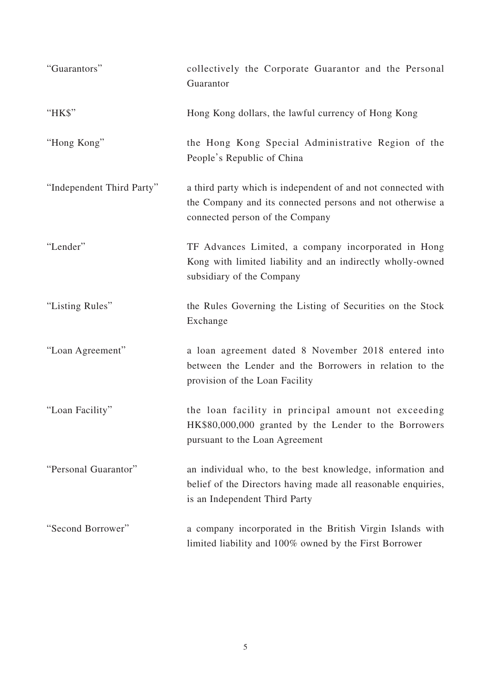| "Guarantors"              | collectively the Corporate Guarantor and the Personal<br>Guarantor                                                                                           |
|---------------------------|--------------------------------------------------------------------------------------------------------------------------------------------------------------|
| "HK\$"                    | Hong Kong dollars, the lawful currency of Hong Kong                                                                                                          |
| "Hong Kong"               | the Hong Kong Special Administrative Region of the<br>People's Republic of China                                                                             |
| "Independent Third Party" | a third party which is independent of and not connected with<br>the Company and its connected persons and not otherwise a<br>connected person of the Company |
| "Lender"                  | TF Advances Limited, a company incorporated in Hong<br>Kong with limited liability and an indirectly wholly-owned<br>subsidiary of the Company               |
| "Listing Rules"           | the Rules Governing the Listing of Securities on the Stock<br>Exchange                                                                                       |
| "Loan Agreement"          | a loan agreement dated 8 November 2018 entered into<br>between the Lender and the Borrowers in relation to the<br>provision of the Loan Facility             |
| "Loan Facility"           | the loan facility in principal amount not exceeding<br>HK\$80,000,000 granted by the Lender to the Borrowers<br>pursuant to the Loan Agreement               |
| "Personal Guarantor"      | an individual who, to the best knowledge, information and<br>belief of the Directors having made all reasonable enquiries,<br>is an Independent Third Party  |
| "Second Borrower"         | a company incorporated in the British Virgin Islands with<br>limited liability and 100% owned by the First Borrower                                          |